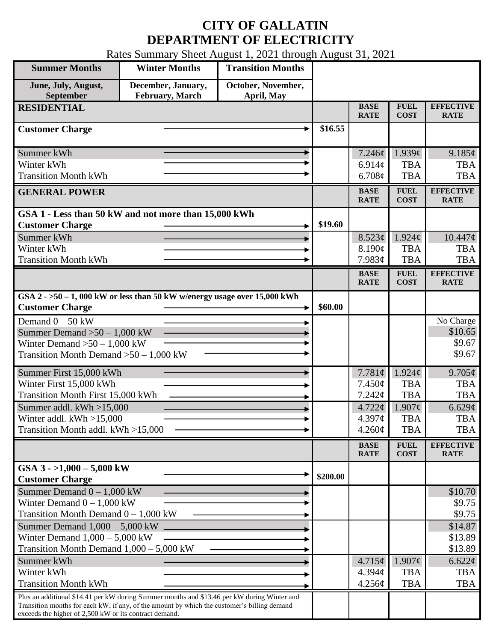## **CITY OF GALLATIN DEPARTMENT OF ELECTRICITY**

Rates Summary Sheet August 1, 2021 through August 31, 2021

| <b>Summer Months</b>                                                                                                                                                                                                                                 | <b>Winter Months</b>                  | <b>Transition Months</b>         |          |                                                                     |                                                                                    |                                                                               |
|------------------------------------------------------------------------------------------------------------------------------------------------------------------------------------------------------------------------------------------------------|---------------------------------------|----------------------------------|----------|---------------------------------------------------------------------|------------------------------------------------------------------------------------|-------------------------------------------------------------------------------|
| June, July, August,<br>September                                                                                                                                                                                                                     | December, January,<br>February, March | October, November,<br>April, May |          |                                                                     |                                                                                    |                                                                               |
| <b>RESIDENTIAL</b>                                                                                                                                                                                                                                   |                                       |                                  |          | <b>BASE</b><br><b>RATE</b>                                          | <b>FUEL</b><br><b>COST</b>                                                         | <b>EFFECTIVE</b><br><b>RATE</b>                                               |
| <b>Customer Charge</b>                                                                                                                                                                                                                               |                                       |                                  | \$16.55  |                                                                     |                                                                                    |                                                                               |
| Summer kWh<br>Winter kWh<br><b>Transition Month kWh</b>                                                                                                                                                                                              |                                       |                                  |          | 7.246¢<br>6.914c<br>6.708¢                                          | 1.939¢<br><b>TBA</b><br><b>TBA</b>                                                 | 9.185¢<br><b>TBA</b><br><b>TBA</b>                                            |
| <b>GENERAL POWER</b>                                                                                                                                                                                                                                 |                                       |                                  |          | <b>BASE</b><br><b>RATE</b>                                          | <b>FUEL</b><br><b>COST</b>                                                         | <b>EFFECTIVE</b><br><b>RATE</b>                                               |
| GSA 1 - Less than 50 kW and not more than 15,000 kWh<br><b>Customer Charge</b><br>Summer kWh                                                                                                                                                         |                                       |                                  | \$19.60  | 8.523¢                                                              | $1.924\mathcal{C}$                                                                 | $10.447\phi$                                                                  |
| Winter kWh<br><b>Transition Month kWh</b>                                                                                                                                                                                                            |                                       |                                  |          | 8.190¢<br>7.983¢                                                    | <b>TBA</b><br><b>TBA</b>                                                           | <b>TBA</b><br><b>TBA</b>                                                      |
|                                                                                                                                                                                                                                                      |                                       |                                  |          | <b>BASE</b><br><b>RATE</b>                                          | <b>FUEL</b><br><b>COST</b>                                                         | <b>EFFECTIVE</b><br><b>RATE</b>                                               |
| GSA $2 - 50 - 1$ , 000 kW or less than 50 kW w/energy usage over 15,000 kWh<br><b>Customer Charge</b>                                                                                                                                                |                                       |                                  | \$60.00  |                                                                     |                                                                                    |                                                                               |
| Demand $0 - 50$ kW<br>Summer Demand $>50-1,000$ kW<br>Winter Demand $>50-1,000$ kW<br>Transition Month Demand $>50-1,000$ kW                                                                                                                         |                                       |                                  |          |                                                                     |                                                                                    | No Charge<br>\$10.65<br>\$9.67<br>\$9.67                                      |
| Summer First 15,000 kWh<br>Winter First 15,000 kWh<br>Transition Month First 15,000 kWh<br>Summer addl. $kWh > 15,000$<br>Winter addl. $kWh > 15,000$<br>Transition Month addl. kWh >15,000                                                          |                                       |                                  |          | 7.781¢<br>7.450¢<br>7.242¢<br>$4.722 \phi$<br>4.397¢<br>$4.260\phi$ | $1.924\phi$<br><b>TBA</b><br><b>TBA</b><br>$1.907\phi$<br><b>TBA</b><br><b>TBA</b> | $9.705\phi$<br><b>TBA</b><br><b>TBA</b><br>6.629¢<br><b>TBA</b><br><b>TBA</b> |
|                                                                                                                                                                                                                                                      |                                       |                                  |          | <b>BASE</b><br><b>RATE</b>                                          | ${\bf F}{\bf U}{\bf E}{\bf L}$<br><b>COST</b>                                      | <b>EFFECTIVE</b><br><b>RATE</b>                                               |
| GSA $3 - 1,000 - 5,000$ kW<br><b>Customer Charge</b>                                                                                                                                                                                                 |                                       |                                  | \$200.00 |                                                                     |                                                                                    |                                                                               |
| Summer Demand $0 - 1,000$ kW<br>Winter Demand $0 - 1,000$ kW<br>Transition Month Demand $0 - 1,000$ kW                                                                                                                                               |                                       |                                  |          |                                                                     |                                                                                    | \$10.70<br>\$9.75<br>\$9.75                                                   |
| Summer Demand $1,000 - 5,000$ kW<br>Winter Demand $1,000 - 5,000$ kW<br>Transition Month Demand $1,000 - 5,000$ kW                                                                                                                                   |                                       |                                  |          |                                                                     |                                                                                    | \$14.87<br>\$13.89<br>\$13.89                                                 |
| Summer kWh<br>Winter kWh<br><b>Transition Month kWh</b>                                                                                                                                                                                              |                                       |                                  |          | 4.715¢<br>4.394 <sub>c</sub><br>4.256¢                              | $1.907\phi$<br><b>TBA</b><br><b>TBA</b>                                            | $6.622\ell$<br><b>TBA</b><br><b>TBA</b>                                       |
| Plus an additional \$14.41 per kW during Summer months and \$13.46 per kW during Winter and<br>Transition months for each kW, if any, of the amount by which the customer's billing demand<br>exceeds the higher of 2,500 kW or its contract demand. |                                       |                                  |          |                                                                     |                                                                                    |                                                                               |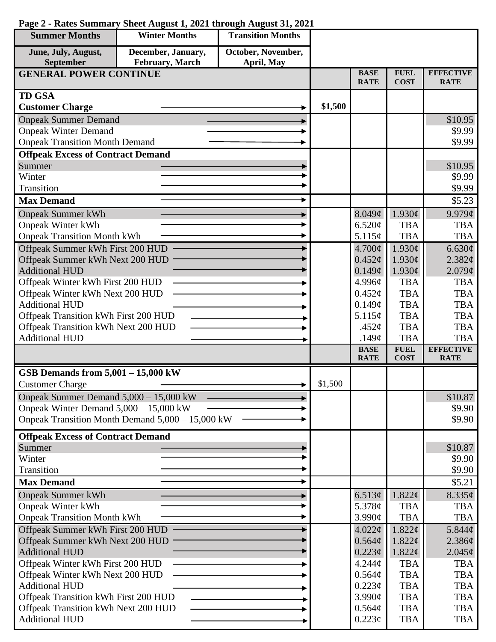| <b>Summer Months</b>                     | <b>Winter Months</b>                             | <b>Transition Months</b> |         |                            |                            |                                 |
|------------------------------------------|--------------------------------------------------|--------------------------|---------|----------------------------|----------------------------|---------------------------------|
| June, July, August,                      | December, January,                               | October, November,       |         |                            |                            |                                 |
| September                                | February, March                                  | April, May               |         |                            |                            |                                 |
| <b>GENERAL POWER CONTINUE</b>            |                                                  |                          |         | <b>BASE</b><br><b>RATE</b> | <b>FUEL</b><br><b>COST</b> | <b>EFFECTIVE</b><br><b>RATE</b> |
| <b>TD GSA</b>                            |                                                  |                          |         |                            |                            |                                 |
| <b>Customer Charge</b>                   |                                                  |                          | \$1,500 |                            |                            |                                 |
| <b>Onpeak Summer Demand</b>              |                                                  |                          |         |                            |                            | \$10.95                         |
| <b>Onpeak Winter Demand</b>              |                                                  |                          |         |                            |                            | \$9.99                          |
| <b>Onpeak Transition Month Demand</b>    |                                                  |                          |         |                            |                            | \$9.99                          |
| <b>Offpeak Excess of Contract Demand</b> |                                                  |                          |         |                            |                            |                                 |
| Summer                                   |                                                  |                          |         |                            |                            | \$10.95                         |
| Winter                                   |                                                  |                          |         |                            |                            | \$9.99                          |
| Transition                               |                                                  |                          |         |                            |                            | \$9.99                          |
| <b>Max Demand</b>                        |                                                  |                          |         |                            |                            | \$5.23                          |
| <b>Onpeak Summer kWh</b>                 |                                                  |                          |         | 8.049¢                     | 1.930¢                     | $9.979\mathcal{C}$              |
| <b>Onpeak Winter kWh</b>                 |                                                  |                          |         | 6.520¢                     | <b>TBA</b>                 | <b>TBA</b>                      |
| <b>Onpeak Transition Month kWh</b>       |                                                  |                          |         | 5.115¢                     | <b>TBA</b>                 | <b>TBA</b>                      |
| Offpeak Summer kWh First 200 HUD         |                                                  |                          |         | 4.700¢                     | 1.930¢                     | 6.630¢                          |
| Offpeak Summer kWh Next 200 HUD          |                                                  |                          |         | $0.452\ell$                | 1.930¢                     | 2.382¢                          |
| <b>Additional HUD</b>                    |                                                  |                          |         | 0.149¢                     | 1.930¢                     | 2.079¢                          |
| Offpeak Winter kWh First 200 HUD         |                                                  |                          |         | 4.996¢                     | <b>TBA</b>                 | <b>TBA</b>                      |
| Offpeak Winter kWh Next 200 HUD          |                                                  |                          |         | $0.452\varphi$             | <b>TBA</b>                 | <b>TBA</b>                      |
| <b>Additional HUD</b>                    |                                                  |                          |         | 0.149¢                     | <b>TBA</b>                 | <b>TBA</b>                      |
| Offpeak Transition kWh First 200 HUD     |                                                  |                          |         | 5.115¢                     | <b>TBA</b>                 | <b>TBA</b>                      |
| Offpeak Transition kWh Next 200 HUD      |                                                  |                          |         | .452 $\varphi$             | <b>TBA</b>                 | <b>TBA</b>                      |
| <b>Additional HUD</b>                    |                                                  |                          |         | .149 $\phi$                | <b>TBA</b>                 | <b>TBA</b>                      |
|                                          |                                                  |                          |         | <b>BASE</b><br><b>RATE</b> | <b>FUEL</b><br><b>COST</b> | <b>EFFECTIVE</b><br><b>RATE</b> |
| GSB Demands from $5,001 - 15,000$ kW     |                                                  |                          |         |                            |                            |                                 |
| <b>Customer Charge</b>                   |                                                  |                          | \$1,500 |                            |                            |                                 |
| Onpeak Summer Demand 5,000 - 15,000 kW   |                                                  |                          |         |                            |                            | \$10.87                         |
| Onpeak Winter Demand $5,000 - 15,000$ kW |                                                  |                          |         |                            |                            | \$9.90                          |
|                                          | Onpeak Transition Month Demand 5,000 - 15,000 kW |                          |         |                            |                            | \$9.90                          |
| <b>Offpeak Excess of Contract Demand</b> |                                                  |                          |         |                            |                            |                                 |
| Summer                                   |                                                  |                          |         |                            |                            | \$10.87                         |
| Winter                                   |                                                  |                          |         |                            |                            | \$9.90                          |
| Transition                               |                                                  |                          |         |                            |                            | \$9.90                          |
| <b>Max Demand</b>                        |                                                  |                          |         |                            |                            | \$5.21                          |
| <b>Onpeak Summer kWh</b>                 |                                                  |                          |         | 6.513¢                     | 1.822¢                     | $8.335\phi$                     |
| <b>Onpeak Winter kWh</b>                 |                                                  |                          |         | 5.378 $\phi$               | <b>TBA</b>                 | <b>TBA</b>                      |
| <b>Onpeak Transition Month kWh</b>       |                                                  |                          |         | 3.990¢                     | <b>TBA</b>                 | <b>TBA</b>                      |
| Offpeak Summer kWh First 200 HUD         |                                                  |                          |         | 4.022¢                     | $1.822 \notin$             | $5.844\phi$                     |
| Offpeak Summer kWh Next 200 HUD          |                                                  |                          |         | $0.564\mathcal{C}$         | 1.822¢                     | 2.386¢                          |
| <b>Additional HUD</b>                    |                                                  |                          |         | $0.223\phi$                | 1.822¢                     | $2.045\phi$                     |
| Offpeak Winter kWh First 200 HUD         |                                                  |                          |         | $4.244\phi$                | <b>TBA</b>                 | <b>TBA</b>                      |
| Offpeak Winter kWh Next 200 HUD          |                                                  |                          |         | 0.564¢                     | <b>TBA</b>                 | <b>TBA</b>                      |
| <b>Additional HUD</b>                    |                                                  |                          |         | $0.223\phi$                | <b>TBA</b>                 | <b>TBA</b>                      |
| Offpeak Transition kWh First 200 HUD     |                                                  |                          |         | $3.990\text{¢}$            | <b>TBA</b>                 | <b>TBA</b>                      |
| Offpeak Transition kWh Next 200 HUD      |                                                  |                          |         | 0.564¢                     | <b>TBA</b>                 | <b>TBA</b>                      |
| <b>Additional HUD</b>                    |                                                  |                          |         | $0.223\phi$                | <b>TBA</b>                 | <b>TBA</b>                      |

## **Page 2 - Rates Summary Sheet August 1, 2021 through August 31, 2021**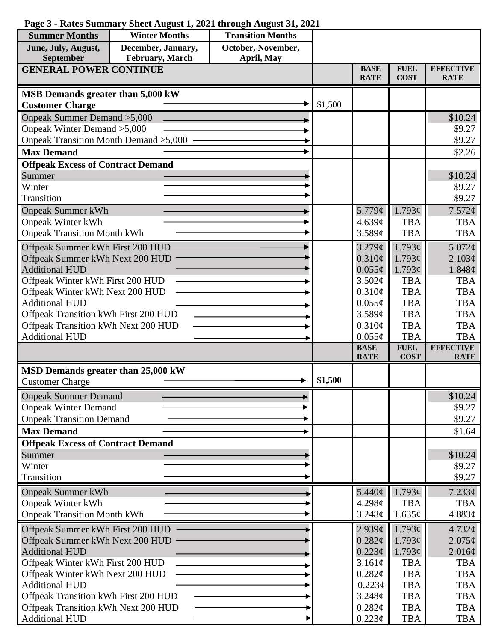| <b>Summer Months</b>                                                        | <b>Winter Months</b> | <b>Transition Months</b> |         |                            |                            |                                 |
|-----------------------------------------------------------------------------|----------------------|--------------------------|---------|----------------------------|----------------------------|---------------------------------|
| June, July, August,                                                         | December, January,   | October, November,       |         |                            |                            |                                 |
| <b>September</b>                                                            | February, March      | April, May               |         |                            |                            |                                 |
| <b>GENERAL POWER CONTINUE</b>                                               |                      |                          |         | <b>BASE</b><br><b>RATE</b> | <b>FUEL</b><br><b>COST</b> | <b>EFFECTIVE</b><br><b>RATE</b> |
| MSB Demands greater than 5,000 kW                                           |                      |                          |         |                            |                            |                                 |
| <b>Customer Charge</b>                                                      |                      |                          | \$1,500 |                            |                            |                                 |
| Onpeak Summer Demand > 5,000                                                |                      |                          |         |                            |                            | \$10.24                         |
| Onpeak Winter Demand > 5,000                                                |                      |                          |         |                            |                            | \$9.27                          |
| Onpeak Transition Month Demand > 5,000                                      |                      |                          |         |                            |                            | \$9.27                          |
| <b>Max Demand</b>                                                           |                      |                          |         |                            |                            | \$2.26                          |
| <b>Offpeak Excess of Contract Demand</b>                                    |                      |                          |         |                            |                            |                                 |
| Summer                                                                      |                      |                          |         |                            |                            | \$10.24                         |
| Winter                                                                      |                      |                          |         |                            |                            | \$9.27                          |
| Transition                                                                  |                      |                          |         |                            |                            | \$9.27                          |
| <b>Onpeak Summer kWh</b>                                                    |                      |                          |         | 5.779¢                     | 1.793¢                     | 7.572¢                          |
| <b>Onpeak Winter kWh</b>                                                    |                      |                          |         | 4.639c                     | <b>TBA</b>                 | <b>TBA</b>                      |
| <b>Onpeak Transition Month kWh</b>                                          |                      |                          |         | 3.589¢                     | <b>TBA</b>                 | <b>TBA</b>                      |
| Offpeak Summer kWh First 200 HU <del>D</del>                                |                      |                          |         | 3.279¢                     | 1.793¢                     | 5.072¢                          |
| Offpeak Summer kWh Next 200 HUD                                             |                      |                          |         | $0.310\phi$                | 1.793¢                     | 2.103¢                          |
| <b>Additional HUD</b>                                                       |                      |                          |         | $0.055\phi$                | 1.793¢                     | 1.848¢                          |
| Offpeak Winter kWh First 200 HUD                                            |                      |                          |         | 3.502¢                     | <b>TBA</b>                 | <b>TBA</b>                      |
| Offpeak Winter kWh Next 200 HUD                                             |                      |                          |         | 0.310¢                     | <b>TBA</b>                 | <b>TBA</b>                      |
| <b>Additional HUD</b>                                                       |                      |                          |         | $0.055\phi$                | <b>TBA</b><br><b>TBA</b>   | <b>TBA</b><br><b>TBA</b>        |
| Offpeak Transition kWh First 200 HUD<br>Offpeak Transition kWh Next 200 HUD |                      |                          |         | 3.589¢<br>$0.310\phi$      | <b>TBA</b>                 | <b>TBA</b>                      |
| <b>Additional HUD</b>                                                       |                      |                          |         | $0.055\phi$                | <b>TBA</b>                 | <b>TBA</b>                      |
|                                                                             |                      |                          |         | <b>BASE</b>                | <b>FUEL</b>                | <b>EFFECTIVE</b>                |
|                                                                             |                      |                          |         | <b>RATE</b>                | <b>COST</b>                | <b>RATE</b>                     |
| MSD Demands greater than 25,000 kW                                          |                      |                          |         |                            |                            |                                 |
| <b>Customer Charge</b>                                                      |                      |                          | \$1,500 |                            |                            |                                 |
| <b>Onpeak Summer Demand</b>                                                 |                      |                          |         |                            |                            | \$10.24                         |
| <b>Onpeak Winter Demand</b>                                                 |                      |                          |         |                            |                            | \$9.27                          |
| <b>Onpeak Transition Demand</b>                                             |                      |                          |         |                            |                            | \$9.27                          |
| <b>Max Demand</b>                                                           |                      |                          |         |                            |                            | \$1.64                          |
| <b>Offpeak Excess of Contract Demand</b>                                    |                      |                          |         |                            |                            |                                 |
| Summer                                                                      |                      |                          |         |                            |                            | \$10.24                         |
| Winter                                                                      |                      |                          |         |                            |                            | \$9.27                          |
| Transition                                                                  |                      |                          |         |                            |                            | \$9.27                          |
| <b>Onpeak Summer kWh</b>                                                    |                      |                          |         | 5.440¢                     | $1.793\phi$                | 7.233¢                          |
| <b>Onpeak Winter kWh</b>                                                    |                      |                          |         | 4.298¢                     | <b>TBA</b>                 | <b>TBA</b>                      |
| <b>Onpeak Transition Month kWh</b>                                          |                      |                          |         | 3.248¢                     | 1.635¢                     | 4.883 $\phi$                    |
| Offpeak Summer kWh First 200 HUD                                            |                      |                          |         | 2.939¢                     | 1.793¢                     | 4.732¢                          |
| Offpeak Summer kWh Next 200 HUD                                             |                      |                          |         | 0.282¢                     | 1.793¢                     | 2.075¢                          |
| <b>Additional HUD</b>                                                       |                      |                          |         | $0.223\phi$                | 1.793¢                     | 2.016¢                          |
| Offpeak Winter kWh First 200 HUD                                            |                      |                          |         | 3.161¢                     | <b>TBA</b>                 | TBA                             |
| Offpeak Winter kWh Next 200 HUD<br><b>Additional HUD</b>                    |                      |                          |         | 0.282¢<br>$0.223\phi$      | <b>TBA</b><br><b>TBA</b>   | <b>TBA</b><br><b>TBA</b>        |
| Offpeak Transition kWh First 200 HUD                                        |                      |                          |         | 3.248¢                     | <b>TBA</b>                 | <b>TBA</b>                      |
| Offpeak Transition kWh Next 200 HUD                                         |                      |                          |         | 0.282¢                     | <b>TBA</b>                 | <b>TBA</b>                      |
| <b>Additional HUD</b>                                                       |                      |                          |         | $0.223\phi$                | <b>TBA</b>                 | TBA                             |